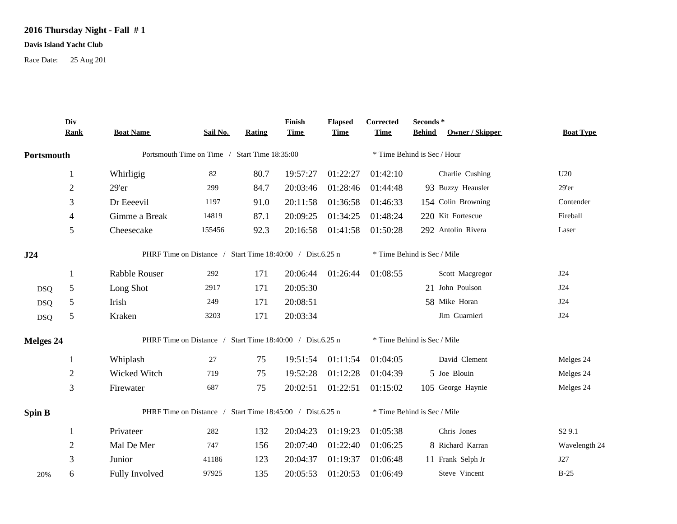## **2016 Thursday Night - Fall # 1**

## **Davis Island Yacht Club**

Race Date: 25 Aug 201

|                  | Div<br><b>Rank</b> | <b>Boat Name</b>                                          | Sail No. | <b>Rating</b> | Finish<br><b>Time</b> | <b>Elapsed</b><br><b>Time</b> | Corrected<br><b>Time</b>    | Seconds *<br><b>Behind</b>  | Owner / Skipper | <b>Boat Type</b>   |  |
|------------------|--------------------|-----------------------------------------------------------|----------|---------------|-----------------------|-------------------------------|-----------------------------|-----------------------------|-----------------|--------------------|--|
| Portsmouth       |                    | Portsmouth Time on Time /<br><b>Start Time 18:35:00</b>   |          |               |                       |                               | * Time Behind is Sec / Hour |                             |                 |                    |  |
|                  | $\mathbf{1}$       | Whirligig                                                 | 82       | 80.7          | 19:57:27              | 01:22:27                      | 01:42:10                    |                             | Charlie Cushing | U20                |  |
|                  | $\overline{2}$     | $29'$ er                                                  | 299      | 84.7          | 20:03:46              | 01:28:46                      | 01:44:48                    | 93 Buzzy Heausler           |                 | 29'er              |  |
|                  | 3                  | Dr Eeeevil                                                | 1197     | 91.0          | 20:11:58              | 01:36:58                      | 01:46:33                    | 154 Colin Browning          |                 | Contender          |  |
|                  | $\overline{4}$     | Gimme a Break                                             | 14819    | 87.1          | 20:09:25              | 01:34:25                      | 01:48:24                    | 220 Kit Fortescue           |                 | Fireball           |  |
|                  | 5                  | Cheesecake                                                | 155456   | 92.3          | 20:16:58              | 01:41:58                      | 01:50:28                    | 292 Antolin Rivera          |                 | Laser              |  |
| J24              |                    | PHRF Time on Distance / Start Time 18:40:00 / Dist.6.25 n |          |               |                       |                               | * Time Behind is Sec / Mile |                             |                 |                    |  |
|                  | 1                  | Rabble Rouser                                             | 292      | 171           | 20:06:44              | 01:26:44                      | 01:08:55                    |                             | Scott Macgregor | J24                |  |
| <b>DSQ</b>       | 5                  | Long Shot                                                 | 2917     | 171           | 20:05:30              |                               |                             | 21 John Poulson             |                 | J24                |  |
| <b>DSQ</b>       | 5                  | Irish                                                     | 249      | 171           | 20:08:51              |                               |                             | 58 Mike Horan               |                 | J24                |  |
| <b>DSQ</b>       | 5                  | Kraken                                                    | 3203     | 171           | 20:03:34              |                               |                             | Jim Guarnieri               |                 | J24                |  |
| <b>Melges 24</b> |                    | PHRF Time on Distance / Start Time 18:40:00 / Dist.6.25 n |          |               |                       |                               | * Time Behind is Sec / Mile |                             |                 |                    |  |
|                  |                    | Whiplash                                                  | 27       | 75            | 19:51:54              | 01:11:54                      | 01:04:05                    | David Clement               |                 | Melges 24          |  |
|                  | $\overline{2}$     | Wicked Witch                                              | 719      | 75            | 19:52:28              | 01:12:28                      | 01:04:39                    | 5 Joe Blouin                |                 | Melges 24          |  |
|                  | 3                  | Firewater                                                 | 687      | 75            | 20:02:51              | 01:22:51                      | 01:15:02                    | 105 George Haynie           |                 | Melges 24          |  |
| Spin B           |                    | PHRF Time on Distance / Start Time 18:45:00 / Dist.6.25 n |          |               |                       |                               |                             | * Time Behind is Sec / Mile |                 |                    |  |
|                  | 1                  | Privateer                                                 | 282      | 132           | 20:04:23              | 01:19:23                      | 01:05:38                    | Chris Jones                 |                 | S <sub>2</sub> 9.1 |  |
|                  | $\boldsymbol{2}$   | Mal De Mer                                                | 747      | 156           | 20:07:40              | 01:22:40                      | 01:06:25                    | 8 Richard Karran            |                 | Wavelength 24      |  |
|                  | 3                  | Junior                                                    | 41186    | 123           | 20:04:37              | 01:19:37                      | 01:06:48                    | 11 Frank Selph Jr           |                 | J27                |  |
| 20%              | 6                  | Fully Involved                                            | 97925    | 135           | 20:05:53              | 01:20:53                      | 01:06:49                    | Steve Vincent               |                 | $B-25$             |  |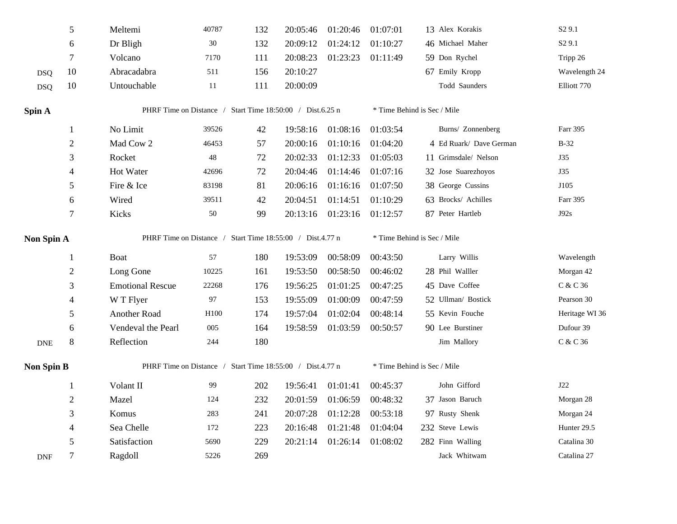|            | $\sqrt{5}$     | Meltemi                                                   | 40787                                                     | 132 | 20:05:46 | 01:20:46 | 01:07:01 | 13 Alex Korakis             | S <sub>2</sub> 9.1 |  |  |  |
|------------|----------------|-----------------------------------------------------------|-----------------------------------------------------------|-----|----------|----------|----------|-----------------------------|--------------------|--|--|--|
|            | 6              | Dr Bligh                                                  | 30                                                        | 132 | 20:09:12 | 01:24:12 | 01:10:27 | 46 Michael Maher            | S <sub>2</sub> 9.1 |  |  |  |
|            | $\tau$         | Volcano                                                   | 7170                                                      | 111 | 20:08:23 | 01:23:23 | 01:11:49 | 59 Don Rychel               | Tripp 26           |  |  |  |
| <b>DSQ</b> | 10             | Abracadabra                                               | 511                                                       | 156 | 20:10:27 |          |          | 67 Emily Kropp              | Wavelength 24      |  |  |  |
| <b>DSQ</b> | 10             | Untouchable                                               | 11                                                        | 111 | 20:00:09 |          |          | Todd Saunders               | Elliott 770        |  |  |  |
| Spin A     |                |                                                           | PHRF Time on Distance / Start Time 18:50:00 / Dist.6.25 n |     |          |          |          | * Time Behind is Sec / Mile |                    |  |  |  |
|            | $\mathbf{1}$   | No Limit                                                  | 39526                                                     | 42  | 19:58:16 | 01:08:16 | 01:03:54 | Burns/ Zonnenberg           | Farr 395           |  |  |  |
|            | $\sqrt{2}$     | Mad Cow 2                                                 | 46453                                                     | 57  | 20:00:16 | 01:10:16 | 01:04:20 | 4 Ed Ruark/ Dave German     | $B-32$             |  |  |  |
|            | 3              | Rocket                                                    | 48                                                        | 72  | 20:02:33 | 01:12:33 | 01:05:03 | 11 Grimsdale/ Nelson        | <b>J35</b>         |  |  |  |
|            | 4              | Hot Water                                                 | 42696                                                     | 72  | 20:04:46 | 01:14:46 | 01:07:16 | 32 Jose Suarezhoyos         | J35                |  |  |  |
|            | 5              | Fire & Ice                                                | 83198                                                     | 81  | 20:06:16 | 01:16:16 | 01:07:50 | 38 George Cussins           | J105               |  |  |  |
|            | 6              | Wired                                                     | 39511                                                     | 42  | 20:04:51 | 01:14:51 | 01:10:29 | 63 Brocks/ Achilles         | Farr 395           |  |  |  |
|            | $\tau$         | Kicks                                                     | 50                                                        | 99  | 20:13:16 | 01:23:16 | 01:12:57 | 87 Peter Hartleb            | J92s               |  |  |  |
| Non Spin A |                |                                                           | PHRF Time on Distance / Start Time 18:55:00 / Dist.4.77 n |     |          |          |          | * Time Behind is Sec / Mile |                    |  |  |  |
|            | $\mathbf{1}$   | <b>Boat</b>                                               | 57                                                        | 180 | 19:53:09 | 00:58:09 | 00:43:50 | Larry Willis                | Wavelength         |  |  |  |
|            | $\overline{2}$ | Long Gone                                                 | 10225                                                     | 161 | 19:53:50 | 00:58:50 | 00:46:02 | 28 Phil Walller             | Morgan 42          |  |  |  |
|            | 3              | <b>Emotional Rescue</b>                                   | 22268                                                     | 176 | 19:56:25 | 01:01:25 | 00:47:25 | 45 Dave Coffee              | C & C 36           |  |  |  |
|            | 4              | W T Flyer                                                 | 97                                                        | 153 | 19:55:09 | 01:00:09 | 00:47:59 | 52 Ullman/ Bostick          | Pearson 30         |  |  |  |
|            | 5              | Another Road                                              | H100                                                      | 174 | 19:57:04 | 01:02:04 | 00:48:14 | 55 Kevin Fouche             | Heritage WI 36     |  |  |  |
|            | 6              | Vendeval the Pearl                                        | 005                                                       | 164 | 19:58:59 | 01:03:59 | 00:50:57 | 90 Lee Burstiner            | Dufour 39          |  |  |  |
| <b>DNE</b> | $\,8\,$        | Reflection                                                | 244                                                       | 180 |          |          |          | Jim Mallory                 | C & C 36           |  |  |  |
| Non Spin B |                | PHRF Time on Distance / Start Time 18:55:00 / Dist.4.77 n |                                                           |     |          |          |          | * Time Behind is Sec / Mile |                    |  |  |  |
|            | $\mathbf{1}$   | Volant II                                                 | 99                                                        | 202 | 19:56:41 | 01:01:41 | 00:45:37 | John Gifford                | J22                |  |  |  |
|            | $\mathbf{2}$   | Mazel                                                     | 124                                                       | 232 | 20:01:59 | 01:06:59 | 00:48:32 | 37 Jason Baruch             | Morgan 28          |  |  |  |
|            | 3              | Komus                                                     | 283                                                       | 241 | 20:07:28 | 01:12:28 | 00:53:18 | 97 Rusty Shenk              | Morgan 24          |  |  |  |
|            | 4              | Sea Chelle                                                | 172                                                       | 223 | 20:16:48 | 01:21:48 | 01:04:04 | 232 Steve Lewis             | Hunter 29.5        |  |  |  |
|            | 5              | Satisfaction                                              | 5690                                                      | 229 | 20:21:14 | 01:26:14 | 01:08:02 | 282 Finn Walling            | Catalina 30        |  |  |  |
| <b>DNF</b> | 7              | Ragdoll                                                   | 5226                                                      | 269 |          |          |          | Jack Whitwam                | Catalina 27        |  |  |  |